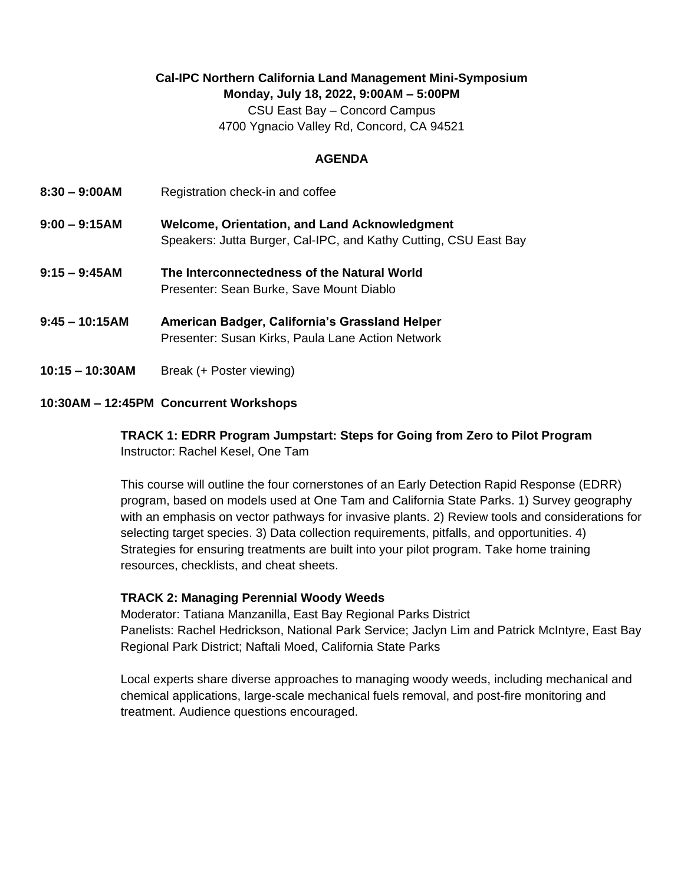## **Cal-IPC Northern California Land Management Mini-Symposium Monday, July 18, 2022, 9:00AM – 5:00PM**

CSU East Bay – Concord Campus 4700 Ygnacio Valley Rd, Concord, CA 94521

#### **AGENDA**

- **8:30 – 9:00AM** Registration check-in and coffee
- **9:00 – 9:15AM Welcome, Orientation, and Land Acknowledgment** Speakers: Jutta Burger, Cal-IPC, and Kathy Cutting, CSU East Bay
- **9:15 – 9:45AM The Interconnectedness of the Natural World** Presenter: Sean Burke, Save Mount Diablo
- **9:45 – 10:15AM American Badger, California's Grassland Helper** Presenter: Susan Kirks, Paula Lane Action Network
- **10:15 – 10:30AM** Break (+ Poster viewing)

### **10:30AM – 12:45PM Concurrent Workshops**

**TRACK 1: EDRR Program Jumpstart: Steps for Going from Zero to Pilot Program** Instructor: Rachel Kesel, One Tam

This course will outline the four cornerstones of an Early Detection Rapid Response (EDRR) program, based on models used at One Tam and California State Parks. 1) Survey geography with an emphasis on vector pathways for invasive plants. 2) Review tools and considerations for selecting target species. 3) Data collection requirements, pitfalls, and opportunities. 4) Strategies for ensuring treatments are built into your pilot program. Take home training resources, checklists, and cheat sheets.

#### **TRACK 2: Managing Perennial Woody Weeds**

Moderator: Tatiana Manzanilla, East Bay Regional Parks District Panelists: Rachel Hedrickson, National Park Service; Jaclyn Lim and Patrick McIntyre, East Bay Regional Park District; Naftali Moed, California State Parks

Local experts share diverse approaches to managing woody weeds, including mechanical and chemical applications, large-scale mechanical fuels removal, and post-fire monitoring and treatment. Audience questions encouraged.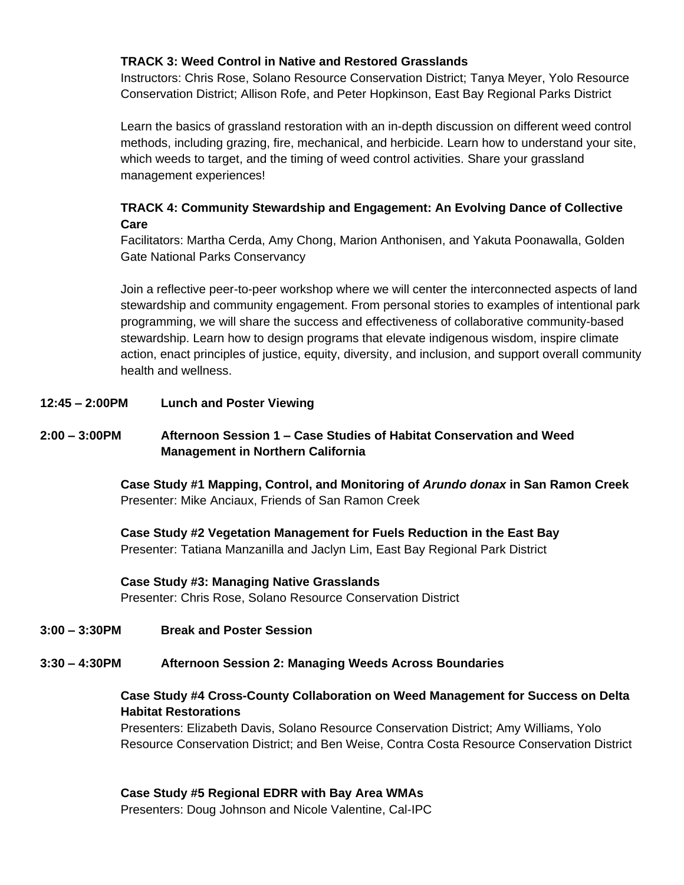#### **TRACK 3: Weed Control in Native and Restored Grasslands**

Instructors: Chris Rose, Solano Resource Conservation District; Tanya Meyer, Yolo Resource Conservation District; Allison Rofe, and Peter Hopkinson, East Bay Regional Parks District

Learn the basics of grassland restoration with an in-depth discussion on different weed control methods, including grazing, fire, mechanical, and herbicide. Learn how to understand your site, which weeds to target, and the timing of weed control activities. Share your grassland management experiences!

## **TRACK 4: Community Stewardship and Engagement: An Evolving Dance of Collective Care**

Facilitators: Martha Cerda, Amy Chong, Marion Anthonisen, and Yakuta Poonawalla, Golden Gate National Parks Conservancy

Join a reflective peer-to-peer workshop where we will center the interconnected aspects of land stewardship and community engagement. From personal stories to examples of intentional park programming, we will share the success and effectiveness of collaborative community-based stewardship. Learn how to design programs that elevate indigenous wisdom, inspire climate action, enact principles of justice, equity, diversity, and inclusion, and support overall community health and wellness.

#### **12:45 – 2:00PM Lunch and Poster Viewing**

## **2:00 – 3:00PM Afternoon Session 1 – Case Studies of Habitat Conservation and Weed Management in Northern California**

**Case Study #1 Mapping, Control, and Monitoring of** *Arundo donax* **in San Ramon Creek** Presenter: Mike Anciaux, Friends of San Ramon Creek

**Case Study #2 Vegetation Management for Fuels Reduction in the East Bay** Presenter: Tatiana Manzanilla and Jaclyn Lim, East Bay Regional Park District

#### **Case Study #3: Managing Native Grasslands**

Presenter: Chris Rose, Solano Resource Conservation District

#### **3:00 – 3:30PM Break and Poster Session**

# **3:30 – 4:30PM Afternoon Session 2: Managing Weeds Across Boundaries**

## **Case Study #4 Cross-County Collaboration on Weed Management for Success on Delta Habitat Restorations**

Presenters: Elizabeth Davis, Solano Resource Conservation District; Amy Williams, Yolo Resource Conservation District; and Ben Weise, Contra Costa Resource Conservation District

**Case Study #5 Regional EDRR with Bay Area WMAs** Presenters: Doug Johnson and Nicole Valentine, Cal-IPC